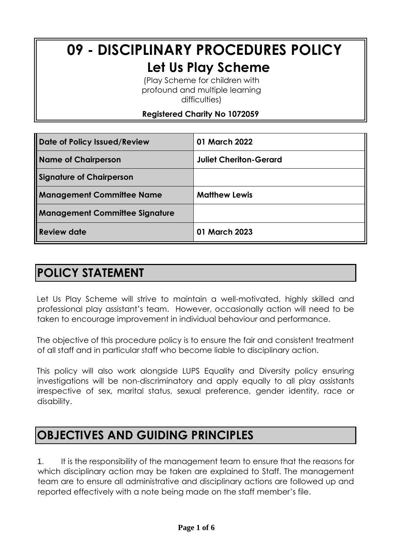# **09 - DISCIPLINARY PROCEDURES POLICY Let Us Play Scheme**

(Play Scheme for children with profound and multiple learning difficulties)

**Registered Charity No 1072059**

| Date of Policy Issued/Review          | 01 March 2022                 |
|---------------------------------------|-------------------------------|
| <b>Name of Chairperson</b>            | <b>Juliet Cheriton-Gerard</b> |
| <b>Signature of Chairperson</b>       |                               |
| <b>Management Committee Name</b>      | <b>Matthew Lewis</b>          |
| <b>Management Committee Signature</b> |                               |
| Review date                           | 01 March 2023                 |

### **POLICY STATEMENT**

Let Us Play Scheme will strive to maintain a well-motivated, highly skilled and professional play assistant's team. However, occasionally action will need to be taken to encourage improvement in individual behaviour and performance.

The objective of this procedure policy is to ensure the fair and consistent treatment of all staff and in particular staff who become liable to disciplinary action.

This policy will also work alongside LUPS Equality and Diversity policy ensuring investigations will be non-discriminatory and apply equally to all play assistants irrespective of sex, marital status, sexual preference, gender identity, race or disability.

### **OBJECTIVES AND GUIDING PRINCIPLES**

1. It is the responsibility of the management team to ensure that the reasons for which disciplinary action may be taken are explained to Staff. The management team are to ensure all administrative and disciplinary actions are followed up and reported effectively with a note being made on the staff member's file.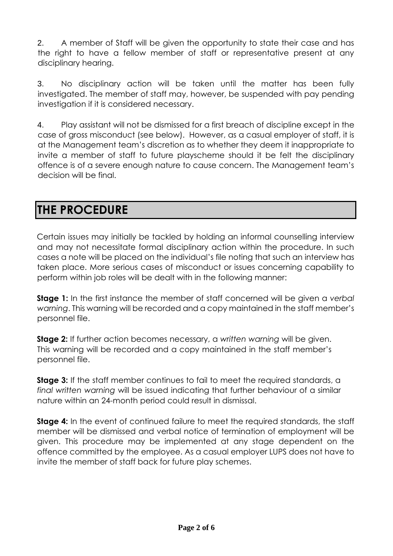2. A member of Staff will be given the opportunity to state their case and has the right to have a fellow member of staff or representative present at any disciplinary hearing.

3. No disciplinary action will be taken until the matter has been fully investigated. The member of staff may, however, be suspended with pay pending investigation if it is considered necessary.

4. Play assistant will not be dismissed for a first breach of discipline except in the case of gross misconduct (see below). However, as a casual employer of staff, it is at the Management team's discretion as to whether they deem it inappropriate to invite a member of staff to future playscheme should it be felt the disciplinary offence is of a severe enough nature to cause concern. The Management team's decision will be final.

### **THE PROCEDURE**

Certain issues may initially be tackled by holding an informal counselling interview and may not necessitate formal disciplinary action within the procedure. In such cases a note will be placed on the individual's file noting that such an interview has taken place. More serious cases of misconduct or issues concerning capability to perform within job roles will be dealt with in the following manner:

**Stage 1:** In the first instance the member of staff concerned will be given a *verbal warning*. This warning will be recorded and a copy maintained in the staff member's personnel file.

**Stage 2:** If further action becomes necessary, a *written warning* will be given. This warning will be recorded and a copy maintained in the staff member's personnel file.

**Stage 3:** If the staff member continues to fail to meet the required standards, a *final written warning* will be issued indicating that further behaviour of a similar nature within an 24-month period could result in dismissal.

**Stage 4:** In the event of continued failure to meet the required standards, the staff member will be dismissed and verbal notice of termination of employment will be given. This procedure may be implemented at any stage dependent on the offence committed by the employee. As a casual employer LUPS does not have to invite the member of staff back for future play schemes.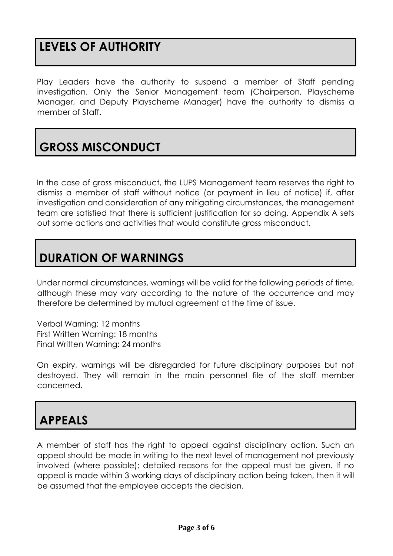## **LEVELS OF AUTHORITY**

Play Leaders have the authority to suspend a member of Staff pending investigation. Only the Senior Management team (Chairperson, Playscheme Manager, and Deputy Playscheme Manager) have the authority to dismiss a member of Staff.

# **GROSS MISCONDUCT**

In the case of gross misconduct, the LUPS Management team reserves the right to dismiss a member of staff without notice (or payment in lieu of notice) if, after investigation and consideration of any mitigating circumstances, the management team are satisfied that there is sufficient justification for so doing. Appendix A sets out some actions and activities that would constitute gross misconduct.

## **DURATION OF WARNINGS**

Under normal circumstances, warnings will be valid for the following periods of time, although these may vary according to the nature of the occurrence and may therefore be determined by mutual agreement at the time of issue.

Verbal Warning: 12 months First Written Warning: 18 months Final Written Warning: 24 months

On expiry, warnings will be disregarded for future disciplinary purposes but not destroyed. They will remain in the main personnel file of the staff member concerned.

## **APPEALS**

A member of staff has the right to appeal against disciplinary action. Such an appeal should be made in writing to the next level of management not previously involved (where possible); detailed reasons for the appeal must be given. If no appeal is made within 3 working days of disciplinary action being taken, then it will be assumed that the employee accepts the decision.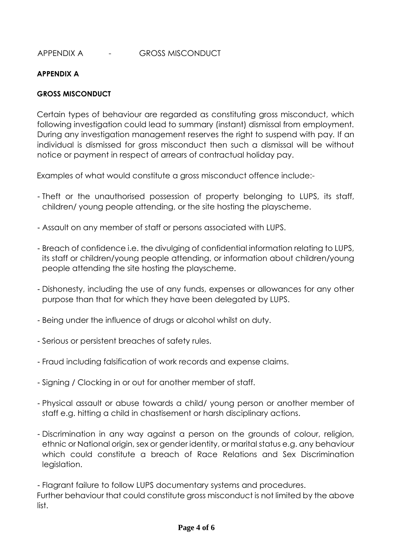#### APPENDIX A - GROSS MISCONDUCT

#### **APPENDIX A**

#### **GROSS MISCONDUCT**

Certain types of behaviour are regarded as constituting gross misconduct, which following investigation could lead to summary (instant) dismissal from employment*.*  During any investigation management reserves the right to suspend with pay*.* If an individual is dismissed for gross misconduct then such a dismissal will be without notice or payment in respect of arrears of contractual holiday pay.

Examples of what would constitute a gross misconduct offence include:*-*

- Theft or the unauthorised possession of property belonging to LUPS, its staff, children/ young people attending, or the site hosting the playscheme.
- Assault on any member of staff or persons associated with LUPS.
- Breach of confidence i.e. the divulging of confidential information relating to LUPS, its staff or children/young people attending, or information about children/young people attending the site hosting the playscheme.
- Dishonesty, including the use of any funds, expenses or allowances for any other purpose than that for which they have been delegated by LUPS.
- Being under the influence of drugs or alcohol whilst on duty.
- Serious or persistent breaches of safety rules.
- Fraud including falsification of work records and expense claims.
- Signing / Clocking in or out for another member of staff.
- Physical assault or abuse towards a child/ young person or another member of staff e.g. hitting a child in chastisement or harsh disciplinary actions.
- Discrimination in any way against a person on the grounds of colour, religion, ethnic or National origin, sex or gender identity, or marital status e.g. any behaviour which could constitute a breach of Race Relations and Sex Discrimination legislation.

- Flagrant failure to follow LUPS documentary systems and procedures. Further behaviour that could constitute gross misconduct is not limited by the above list.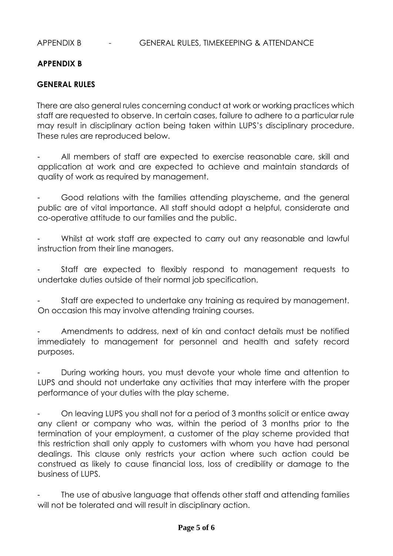#### APPENDIX B - GENERAL RULES, TIMEKEEPING & ATTENDANCE

#### **APPENDIX B**

#### **GENERAL RULES**

There are also general rules concerning conduct at work or working practices which staff are requested to observe. In certain cases, failure to adhere to a particular rule may result in disciplinary action being taken within LUPS's disciplinary procedure. These rules are reproduced below.

All members of staff are expected to exercise reasonable care, skill and application at work and are expected to achieve and maintain standards of quality of work as required by management.

- Good relations with the families attending playscheme, and the general public are of vital importance. All staff should adopt a helpful, considerate and co-operative attitude to our families and the public.

Whilst at work staff are expected to carry out any reasonable and lawful instruction from their line managers.

- Staff are expected to flexibly respond to management requests to undertake duties outside of their normal job specification.

Staff are expected to undertake any training as required by management. On occasion this may involve attending training courses.

- Amendments to address, next of kin and contact details must be notified immediately to management for personnel and health and safety record purposes.

During working hours, you must devote your whole time and attention to LUPS and should not undertake any activities that may interfere with the proper performance of your duties with the play scheme.

- On leaving LUPS you shall not for a period of 3 months solicit or entice away any client or company who was, within the period of 3 months prior to the termination of your employment, a customer of the play scheme provided that this restriction shall only apply to customers with whom you have had personal dealings. This clause only restricts your action where such action could be construed as likely to cause financial loss, loss of credibility or damage to the business of LUPS.

The use of abusive language that offends other staff and attending families will not be tolerated and will result in disciplinary action.